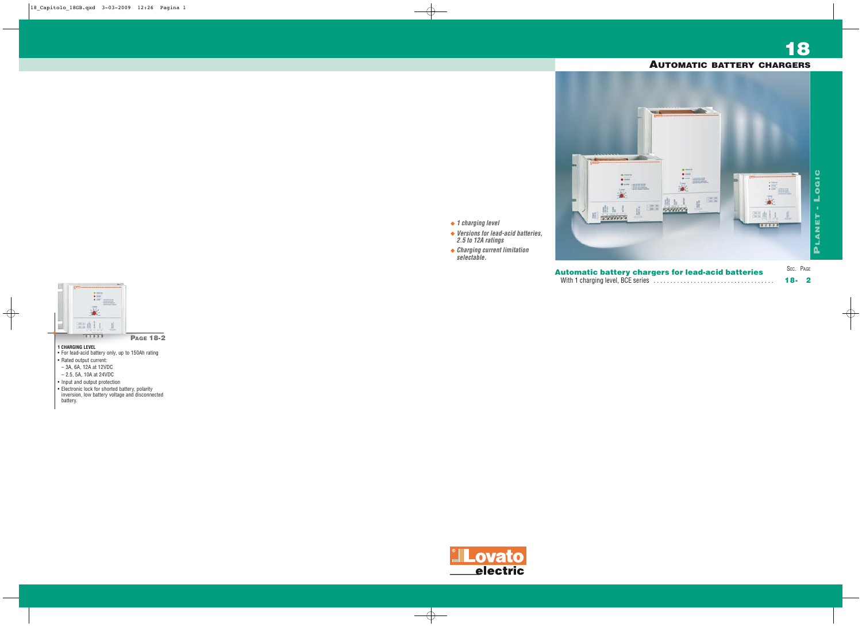- **1 CHARGING LEVEL**
- For lead-acid battery only, up to 150Ah rating
- Rated output current:
- 3A, 6A, 12A at 12VDC
- 2.5, 5A, 10A at 24VDC
- Input and output protection
- Electronic lock for shorted battery, polarity inversion, low battery voltage and disconnected battery.



**PAGE 18-2**

**1 charging level**

**Versions for lead-acid batteries,** 

**2.5 to 12A ratings**

**Charging current limitation**



**selectable.**

With 1 charging level, BCE series . . . . . . . . . . . . . . . . . . . . . . . . . . . . . . . . . . . . **18- 2**

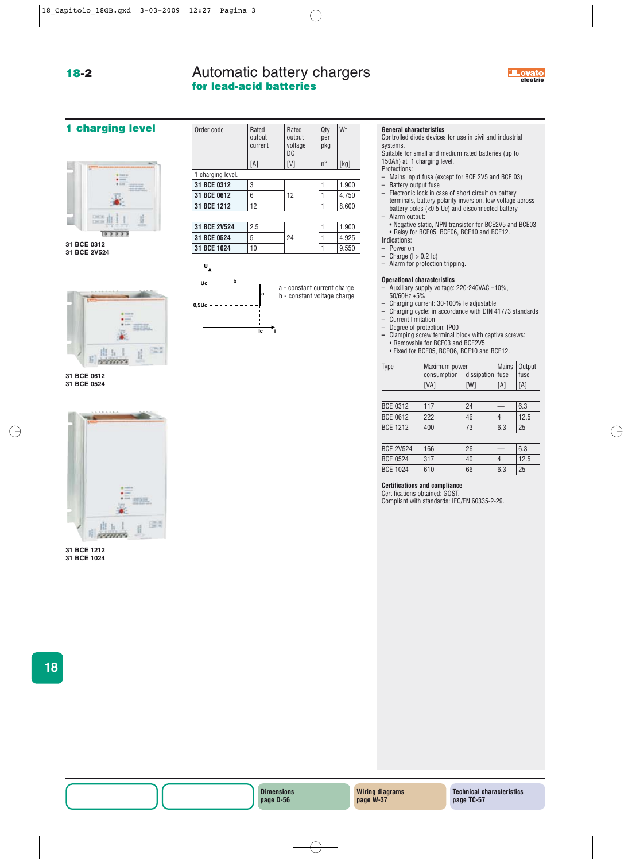## **18-2**

# Automatic battery chargers **for lead-acid batteries**



## **1 charging level**



**31 BCE 0312 31 BCE 2V524**









| Order code        | Rated<br>output<br>current | Rated<br>output<br>voltage<br>DC | Qty<br>per<br>pkg | Wt    |  |  |
|-------------------|----------------------------|----------------------------------|-------------------|-------|--|--|
|                   | [A]                        | [V]                              | $n^{\circ}$       | [kg]  |  |  |
| 1 charging level. |                            |                                  |                   |       |  |  |
| 31 BCE 0312       | 3                          |                                  | 1                 | 1.900 |  |  |
| 31 BCE 0612       | 6                          | 12                               | 1                 | 4.750 |  |  |
| 31 BCE 1212       | 12                         |                                  | 1                 | 8.600 |  |  |
|                   |                            |                                  |                   |       |  |  |

| 31 BCE 2V524 | 2.5 | 24 | 1.900 |
|--------------|-----|----|-------|
| 31 BCE 0524  | 5   |    | 4 925 |
| 31 BCE 1024  | 10  |    | 9.550 |



### **General characteristics**

Controlled diode devices for use in civil and industrial systems.

Suitable for small and medium rated batteries (up to 150Ah) at 1 charging level.

- Protections:
- Mains input fuse (except for BCE 2V5 and BCE 03) – Battery output fuse
- Electronic lock in case of short circuit on battery terminals, battery polarity inversion, low voltage across battery poles (<0.5 Ue) and disconnected battery – Alarm output:
- Negative static, NPN transistor for BCE2V5 and BCE03 • Relay for BCE05, BCE06, BCE10 and BCE12.
- Indications:
- Power on
- Charge  $(1 > 0.2 \text{ lc})$
- Alarm for protection tripping.

#### **Operational characteristics**

- Auxiliary supply voltage: 220-240VAC ±10%, 50/60Hz ±5%
- Charging current:  $30-100%$  le adjustable<br>
Charging cycle: in accordance with DIN 4
- Charging cycle: in accordance with DIN 41773 standards
- Current limitation
- Degree of protection: IP00<br>– Clamping screw terminal b
- **–** Clamping screw terminal block with captive screws: • Removable for BCE03 and BCE2V5
- Fixed for BCE05, BCEO6, BCE10 and BCE12.

| <b>Type</b>      | Maximum power<br>consumption<br>dissipation fuse |     | <b>Mains</b> | Output<br>fuse |
|------------------|--------------------------------------------------|-----|--------------|----------------|
|                  | [VA]                                             | [W] | [A]          | [A]            |
|                  |                                                  |     |              |                |
| <b>BCE 0312</b>  | 117                                              | 24  |              | 6.3            |
| <b>BCE 0612</b>  | 222                                              | 46  | 4            | 12.5           |
| <b>BCE 1212</b>  | 400                                              | 73  | 6.3          | 25             |
|                  |                                                  |     |              |                |
| <b>BCE 2V524</b> | 166                                              | 26  |              | 6.3            |
| <b>BCE 0524</b>  | 317                                              | 40  |              | 12.5           |

# BCE 1024 610 66 6.3 25

### **Certifications and compliance**

Certifications obtained: GOST. Compliant with standards: IEC/EN 60335-2-29.

**18**